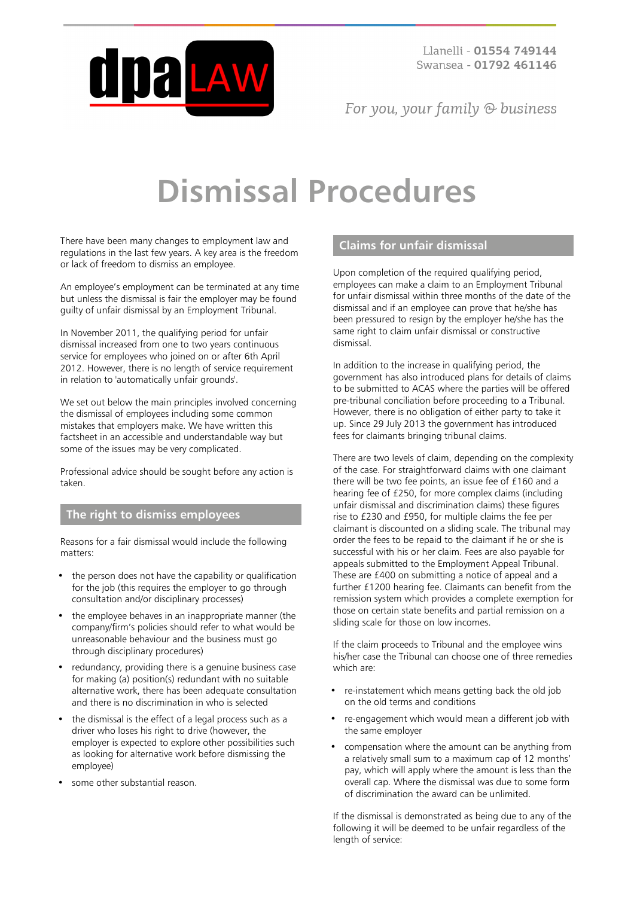

Llanelli - 01554 749144 Swansea - 01792 461146

For you, your family  $\odot$  business

# **Dismissal Procedures**

There have been many changes to employment law and regulations in the last few years. A key area is the freedom or lack of freedom to dismiss an employee.

An employee's employment can be terminated at any time but unless the dismissal is fair the employer may be found guilty of unfair dismissal by an Employment Tribunal.

In November 2011, the qualifying period for unfair dismissal increased from one to two years continuous service for employees who joined on or after 6th April 2012. However, there is no length of service requirement in relation to 'automatically unfair grounds'.

We set out below the main principles involved concerning the dismissal of employees including some common mistakes that employers make. We have written this factsheet in an accessible and understandable way but some of the issues may be very complicated.

Professional advice should be sought before any action is taken.

# **The right to dismiss employees**

Reasons for a fair dismissal would include the following matters:

- the person does not have the capability or qualification for the job (this requires the employer to go through consultation and/or disciplinary processes)
- the employee behaves in an inappropriate manner (the company/firm's policies should refer to what would be unreasonable behaviour and the business must go through disciplinary procedures)
- redundancy, providing there is a genuine business case for making (a) position(s) redundant with no suitable alternative work, there has been adequate consultation and there is no discrimination in who is selected
- the dismissal is the effect of a legal process such as a driver who loses his right to drive (however, the employer is expected to explore other possibilities such as looking for alternative work before dismissing the employee)
- some other substantial reason.

#### **Claims for unfair dismissal**

Upon completion of the required qualifying period, employees can make a claim to an Employment Tribunal for unfair dismissal within three months of the date of the dismissal and if an employee can prove that he/she has been pressured to resign by the employer he/she has the same right to claim unfair dismissal or constructive dismissal.

In addition to the increase in qualifying period, the government has also introduced plans for details of claims to be submitted to ACAS where the parties will be offered pre-tribunal conciliation before proceeding to a Tribunal. However, there is no obligation of either party to take it up. Since 29 July 2013 the government has introduced fees for claimants bringing tribunal claims.

There are two levels of claim, depending on the complexity of the case. For straightforward claims with one claimant there will be two fee points, an issue fee of £160 and a hearing fee of £250, for more complex claims (including unfair dismissal and discrimination claims) these figures rise to £230 and £950, for multiple claims the fee per claimant is discounted on a sliding scale. The tribunal may order the fees to be repaid to the claimant if he or she is successful with his or her claim. Fees are also payable for appeals submitted to the Employment Appeal Tribunal. These are £400 on submitting a notice of appeal and a further £1200 hearing fee. Claimants can benefit from the remission system which provides a complete exemption for those on certain state benefits and partial remission on a sliding scale for those on low incomes.

If the claim proceeds to Tribunal and the employee wins his/her case the Tribunal can choose one of three remedies which are:

- re-instatement which means getting back the old job on the old terms and conditions
- re-engagement which would mean a different job with the same employer
- compensation where the amount can be anything from a relatively small sum to a maximum cap of 12 months' pay, which will apply where the amount is less than the overall cap. Where the dismissal was due to some form of discrimination the award can be unlimited.

If the dismissal is demonstrated as being due to any of the following it will be deemed to be unfair regardless of the length of service: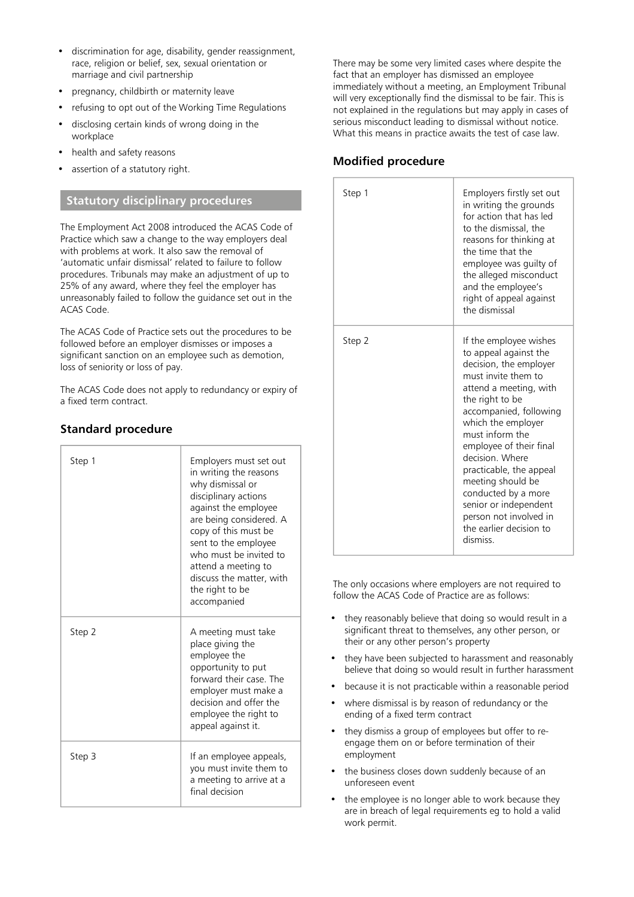- discrimination for age, disability, gender reassignment, race, religion or belief, sex, sexual orientation or marriage and civil partnership
- pregnancy, childbirth or maternity leave
- refusing to opt out of the Working Time Regulations
- disclosing certain kinds of wrong doing in the workplace
- health and safety reasons
- assertion of a statutory right.

### **Statutory disciplinary procedures**

The Employment Act 2008 introduced the ACAS Code of Practice which saw a change to the way employers deal with problems at work. It also saw the removal of 'automatic unfair dismissal' related to failure to follow procedures. Tribunals may make an adjustment of up to 25% of any award, where they feel the employer has unreasonably failed to follow the guidance set out in the ACAS Code.

The ACAS Code of Practice sets out the procedures to be followed before an employer dismisses or imposes a significant sanction on an employee such as demotion, loss of seniority or loss of pay.

The ACAS Code does not apply to redundancy or expiry of a fixed term contract.

# **Standard procedure**

| Step 1 | Employers must set out<br>in writing the reasons<br>why dismissal or<br>disciplinary actions<br>against the employee<br>are being considered. A<br>copy of this must be<br>sent to the employee<br>who must be invited to<br>attend a meeting to<br>discuss the matter, with<br>the right to be<br>accompanied |
|--------|----------------------------------------------------------------------------------------------------------------------------------------------------------------------------------------------------------------------------------------------------------------------------------------------------------------|
| Step 2 | A meeting must take<br>place giving the<br>employee the<br>opportunity to put<br>forward their case. The<br>employer must make a<br>decision and offer the<br>employee the right to<br>appeal against it.                                                                                                      |
| Step 3 | If an employee appeals,<br>you must invite them to<br>a meeting to arrive at a<br>final decision                                                                                                                                                                                                               |

There may be some very limited cases where despite the fact that an employer has dismissed an employee immediately without a meeting, an Employment Tribunal will very exceptionally find the dismissal to be fair. This is not explained in the regulations but may apply in cases of serious misconduct leading to dismissal without notice. What this means in practice awaits the test of case law.

## **Modified procedure**

| Step 1 | Employers firstly set out<br>in writing the grounds<br>for action that has led<br>to the dismissal, the<br>reasons for thinking at<br>the time that the<br>employee was guilty of<br>the alleged misconduct<br>and the employee's<br>right of appeal against<br>the dismissal                                                                                                                                                   |
|--------|---------------------------------------------------------------------------------------------------------------------------------------------------------------------------------------------------------------------------------------------------------------------------------------------------------------------------------------------------------------------------------------------------------------------------------|
| Step 2 | If the employee wishes<br>to appeal against the<br>decision, the employer<br>must invite them to<br>attend a meeting, with<br>the right to be<br>accompanied, following<br>which the employer<br>must inform the<br>employee of their final<br>decision. Where<br>practicable, the appeal<br>meeting should be<br>conducted by a more<br>senior or independent<br>person not involved in<br>the earlier decision to<br>dismiss. |

The only occasions where employers are not required to follow the ACAS Code of Practice are as follows:

- they reasonably believe that doing so would result in a significant threat to themselves, any other person, or their or any other person's property
- they have been subjected to harassment and reasonably believe that doing so would result in further harassment
- because it is not practicable within a reasonable period
- where dismissal is by reason of redundancy or the ending of a fixed term contract
- they dismiss a group of employees but offer to reengage them on or before termination of their employment
- the business closes down suddenly because of an unforeseen event
- the employee is no longer able to work because they are in breach of legal requirements eg to hold a valid work permit.